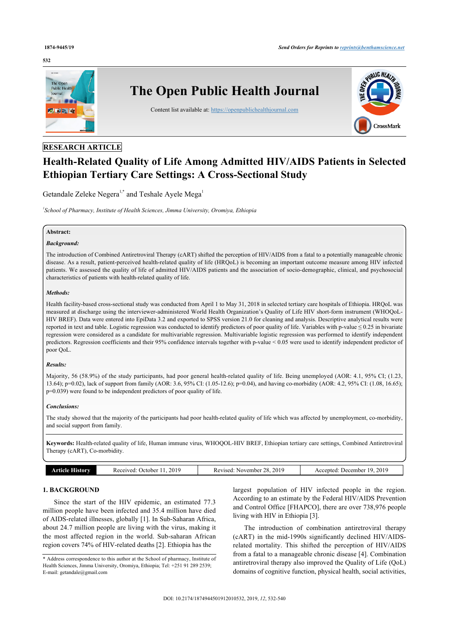#### **532**



# **RESEARCH ARTICLE**

# **Health-Related Quality of Life Among Admitted HIV/AIDS Patients in Selected Ethiopian Tertiary Care Settings: A Cross-Sectional Study**

Getandale Zeleke Negera<sup>[1](#page-0-0)[,\\*](#page-0-1)</sup> and Teshale Ayele Mega<sup>1</sup>

<span id="page-0-0"></span>*1 School of Pharmacy, Institute of Health Sciences, Jimma University, Oromiya, Ethiopia*

#### **Abstract:**

# *Background:*

The introduction of Combined Antiretroviral Therapy (cART) shifted the perception of HIV/AIDS from a fatal to a potentially manageable chronic disease. As a result, patient-perceived health-related quality of life (HRQoL) is becoming an important outcome measure among HIV infected patients. We assessed the quality of life of admitted HIV/AIDS patients and the association of socio-demographic, clinical, and psychosocial characteristics of patients with health-related quality of life.

#### *Methods:*

Health facility-based cross-sectional study was conducted from April 1 to May 31, 2018 in selected tertiary care hospitals of Ethiopia. HRQoL was measured at discharge using the interviewer-administered World Health Organization's Quality of Life HIV short-form instrument (WHOQoL-HIV BREF). Data were entered into EpiData 3.2 and exported to SPSS version 21.0 for cleaning and analysis. Descriptive analytical results were reported in text and table. Logistic regression was conducted to identify predictors of poor quality of life. Variables with p-value  $\leq 0.25$  in bivariate regression were considered as a candidate for multivariable regression. Multivariable logistic regression was performed to identify independent predictors. Regression coefficients and their 95% confidence intervals together with p-value < 0.05 were used to identify independent predictor of poor QoL.

#### *Results:*

Majority, 56 (58.9%) of the study participants, had poor general health-related quality of life. Being unemployed (AOR: 4.1, 95% CI; (1.23, 13.64); p=0.02), lack of support from family (AOR: 3.6, 95% CI: (1.05-12.6); p=0.04), and having co-morbidity (AOR: 4.2, 95% CI: (1.08, 16.65); p=0.039) were found to be independent predictors of poor quality of life.

#### *Conclusions:*

The study showed that the majority of the participants had poor health-related quality of life which was affected by unemployment, co-morbidity, and social support from family.

**Keywords:** Health-related quality of life, Human immune virus, WHOQOL-HIV BREF, Ethiopian tertiary care settings, Combined Antiretroviral Therapy (cART), Co-morbidity.

|--|

### **1. BACKGROUND**

Since the start of the HIV epidemic, an estimated 77.3 million people have been infected and 35.4 million have died of AIDS-related illnesses, globally [\[1\]](#page-6-0). In Sub-Saharan Africa, about 24.7 million people are living with the virus, making it the most affected region in the world. Sub-saharan African region covers 74% of HIV-related deaths [\[2\]](#page-6-1). Ethiopia has the

largest population of HIV infected people in the region. According to an estimate by the Federal HIV/AIDS Prevention and Control Office [FHAPCO], there are over 738,976 people living with HIV in Ethiopia [[3](#page-6-2)].

The introduction of combination antiretroviral therapy (cART) in the mid-1990s significantly declined HIV/AIDSrelated mortality. This shifted the perception of HIV/AIDS from a fatal to a manageable chronic disease [[4](#page-6-3)]. Combination antiretroviral therapy also improved the Quality of Life (QoL) domains of cognitive function, physical health, social activities,

<span id="page-0-1"></span><sup>\*</sup> Address correspondence to this author at the School of pharmacy, Institute of Health Sciences, Jimma University, Oromiya, Ethiopia; Tel: +251 91 289 2539; E-mail: [getandale@gmail.com](mailto:getandale@gmail.com)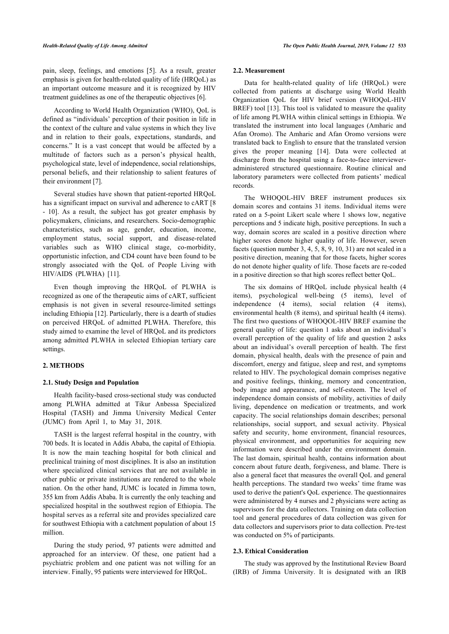pain, sleep, feelings, and emotions[[5](#page-6-4)]. As a result, greater emphasis is given for health-related quality of life (HRQoL) as an important outcome measure and it is recognized by HIV treatment guidelines as one of the therapeutic objectives [\[6\]](#page-6-5).

According to World Health Organization (WHO), QoL is defined as "individuals' perception of their position in life in the context of the culture and value systems in which they live and in relation to their goals, expectations, standards, and concerns." It is a vast concept that would be affected by a multitude of factors such as a person's physical health, psychological state, level of independence, social relationships, personal beliefs, and their relationship to salient features of their environment [\[7\]](#page-7-0).

Several studies have shown that patient-reported HRQoL has a significant impact on survival and adherence to cART [[8](#page-7-1)] - [10\]](#page-7-2). As a result, the subject has got greater emphasis by policymakers, clinicians, and researchers. Socio-demographic characteristics, such as age, gender, education, income, employment status, social support, and disease-related variables such as WHO clinical stage, co-morbidity, opportunistic infection, and CD4 count have been found to be strongly associated with the QoL of People Living with HIV/AIDS (PLWHA)[[11\]](#page-7-3).

Even though improving the HRQoL of PLWHA is recognized as one of the therapeutic aims of cART, sufficient emphasis is not given in several resource-limited settings including Ethiopia [[12\]](#page-7-4). Particularly, there is a dearth of studies on perceived HRQoL of admitted PLWHA. Therefore, this study aimed to examine the level of HRQoL and its predictors among admitted PLWHA in selected Ethiopian tertiary care settings.

# **2. METHODS**

# **2.1. Study Design and Population**

Health facility-based cross-sectional study was conducted among PLWHA admitted at Tikur Anbessa Specialized Hospital (TASH) and Jimma University Medical Center (JUMC) from April 1, to May 31, 2018.

TASH is the largest referral hospital in the country, with 700 beds. It is located in Addis Ababa, the capital of Ethiopia. It is now the main teaching hospital for both clinical and preclinical training of most disciplines. It is also an institution where specialized clinical services that are not available in other public or private institutions are rendered to the whole nation. On the other hand, JUMC is located in Jimma town, 355 km from Addis Ababa. It is currently the only teaching and specialized hospital in the southwest region of Ethiopia. The hospital serves as a referral site and provides specialized care for southwest Ethiopia with a catchment population of about 15 million.

During the study period, 97 patients were admitted and approached for an interview. Of these, one patient had a psychiatric problem and one patient was not willing for an interview. Finally, 95 patients were interviewed for HRQoL.

#### **2.2. Measurement**

Data for health-related quality of life (HRQoL) were collected from patients at discharge using World Health Organization QoL for HIV brief version (WHOQoL-HIV BREF) tool [[13\]](#page-7-5). This tool is validated to measure the quality of life among PLWHA within clinical settings in Ethiopia. We translated the instrument into local languages (Amharic and Afan Oromo). The Amharic and Afan Oromo versions were translated back to English to ensure that the translated version gives the proper meaning[[14\]](#page-7-6). Data were collected at discharge from the hospital using a face-to-face intervieweradministered structured questionnaire. Routine clinical and laboratory parameters were collected from patients' medical records.

The WHOQOL-HIV BREF instrument produces six domain scores and contains 31 items. Individual items were rated on a 5-point Likert scale where 1 shows low, negative perceptions and 5 indicate high, positive perceptions. In such a way, domain scores are scaled in a positive direction where higher scores denote higher quality of life. However, seven facets (question number 3, 4, 5, 8, 9, 10, 31) are not scaled in a positive direction, meaning that for those facets, higher scores do not denote higher quality of life. Those facets are re-coded in a positive direction so that high scores reflect better QoL.

The six domains of HRQoL include physical health (4 items), psychological well-being (5 items), level of independence (4 items), social relation (4 items), environmental health (8 items), and spiritual health (4 items). The first two questions of WHOQOL-HIV BREF examine the general quality of life: question 1 asks about an individual's overall perception of the quality of life and question 2 asks about an individual's overall perception of health. The first domain, physical health, deals with the presence of pain and discomfort, energy and fatigue, sleep and rest, and symptoms related to HIV. The psychological domain comprises negative and positive feelings, thinking, memory and concentration, body image and appearance, and self-esteem. The level of independence domain consists of mobility, activities of daily living, dependence on medication or treatments, and work capacity. The social relationships domain describes; personal relationships, social support, and sexual activity. Physical safety and security, home environment, financial resources, physical environment, and opportunities for acquiring new information were described under the environment domain. The last domain, spiritual health, contains information about concern about future death, forgiveness, and blame. There is also a general facet that measures the overall QoL and general health perceptions. The standard two weeks' time frame was used to derive the patient's QoL experience. The questionnaires were administered by 4 nurses and 2 physicians were acting as supervisors for the data collectors. Training on data collection tool and general procedures of data collection was given for data collectors and supervisors prior to data collection. Pre-test was conducted on 5% of participants.

#### **2.3. Ethical Consideration**

The study was approved by the Institutional Review Board (IRB) of Jimma University. It is designated with an IRB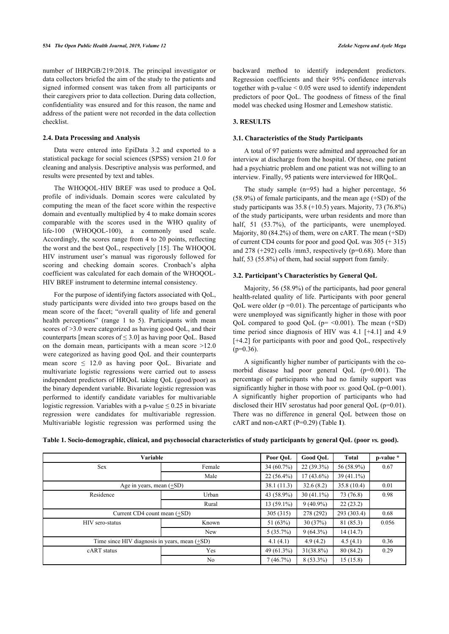number of IHRPGB/219/2018. The principal investigator or data collectors briefed the aim of the study to the patients and signed informed consent was taken from all participants or their caregivers prior to data collection. During data collection, confidentiality was ensured and for this reason, the name and address of the patient were not recorded in the data collection checklist.

### **2.4. Data Processing and Analysis**

Data were entered into EpiData 3.2 and exported to a statistical package for social sciences (SPSS) version 21.0 for cleaning and analysis. Descriptive analysis was performed, and results were presented by text and tables.

The WHOQOL-HIV BREF was used to produce a QoL profile of individuals. Domain scores were calculated by computing the mean of the facet score within the respective domain and eventually multiplied by 4 to make domain scores comparable with the scores used in the WHO quality of life-100 (WHOQOL-100), a commonly used scale. Accordingly, the scores range from 4 to 20 points, reflecting the worst and the best QoL, respectively [[15](#page-7-7)]. The WHOQOL HIV instrument user's manual was rigorously followed for scoring and checking domain scores. Cronbach's alpha coefficient was calculated for each domain of the WHOQOL-HIV BREF instrument to determine internal consistency.

For the purpose of identifying factors associated with QoL, study participants were divided into two groups based on the mean score of the facet; "overall quality of life and general health perceptions" (range 1 to 5). Participants with mean scores of  $>3.0$  were categorized as having good QoL, and their counterparts [mean scores of  $\leq 3.0$ ] as having poor QoL. Based on the domain mean, participants with a mean score >12.0 were categorized as having good QoL and their counterparts mean score  $\leq$  12.0 as having poor QoL. Bivariate and multivariate logistic regressions were carried out to assess independent predictors of HRQoL taking QoL (good/poor) as the binary dependent variable. Bivariate logistic regression was performed to identify candidate variables for multivariable logistic regression. Variables with a p-value  $\leq 0.25$  in bivariate regression were candidates for multivariable regression. Multivariable logistic regression was performed using the backward method to identify independent predictors. Regression coefficients and their 95% confidence intervals together with p-value < 0.05 were used to identify independent predictors of poor QoL. The goodness of fitness of the final model was checked using Hosmer and Lemeshow statistic.

# **3. RESULTS**

### **3.1. Characteristics of the Study Participants**

A total of 97 patients were admitted and approached for an interview at discharge from the hospital. Of these, one patient had a psychiatric problem and one patient was not willing to an interview. Finally, 95 patients were interviewed for HRQoL.

The study sample (n=95) had a higher percentage, 56 (58.9%) of female participants, and the mean age (+SD) of the study participants was  $35.8$  (+10.5) years. Majority, 73 (76.8%) of the study participants, were urban residents and more than half, 51 (53.7%), of the participants, were unemployed. Majority, 80 (84.2%) of them, were on cART. The mean (+SD) of current CD4 counts for poor and good QoL was 305 (+ 315) and  $278$  (+292) cells /mm3, respectively (p=0.68). More than half, 53 (55.8%) of them, had social support from family.

# **3.2. Participant's Characteristics by General QoL**

Majority, 56 (58.9%) of the participants, had poor general health-related quality of life. Participants with poor general QoL were older  $(p=0.01)$ . The percentage of participants who were unemployed was significantly higher in those with poor QoL compared to good QoL ( $p = \langle 0.001 \rangle$ ). The mean (+SD) time period since diagnosis of HIV was 4.1 [+4.1] and 4.9 [+4.2] for participants with poor and good QoL, respectively  $(p=0.36)$ .

A significantly higher number of participants with the comorbid disease had poor general QoL (p=0.001). The percentage of participants who had no family support was significantly higher in those with poor *vs.* good QoL (p=0.001). A significantly higher proportion of participants who had disclosed their HIV serostatus had poor general QoL (p=0.01). There was no difference in general [Q](#page-2-0)oL between those on cART and non-cART (P=0.29) (Table **1**).

| Variable                                        |                |              | Good OoL     | Total        | p-value * |
|-------------------------------------------------|----------------|--------------|--------------|--------------|-----------|
| <b>Sex</b>                                      | Female         | $34(60.7\%)$ | $22(39.3\%)$ | 56 (58.9%)   | 0.67      |
|                                                 | Male           | $22(56.4\%)$ | $17(43.6\%)$ | $39(41.1\%)$ |           |
| Age in years, mean $(+SD)$                      |                | 38.1(11.3)   | 32.6(8.2)    | 35.8(10.4)   | 0.01      |
| Residence                                       | Urban          | 43 (58.9%)   | $30(41.1\%)$ | 73 (76.8)    | 0.98      |
|                                                 | Rural          | $13(59.1\%)$ | $9(40.9\%)$  | 22(23.2)     |           |
| Current $CD4$ count mean $(+SD)$                |                |              | 278 (292)    | 293 (303.4)  | 0.68      |
| HIV sero-status                                 | Known          | 51 $(63%)$   | 30(37%)      | 81 (85.3)    | 0.056     |
|                                                 | New            | $5(35.7\%)$  | $9(64.3\%)$  | 14(14.7)     |           |
| Time since HIV diagnosis in years, mean $(+SD)$ |                |              | 4.9(4.2)     | 4.5(4.1)     | 0.36      |
| cART status                                     | Yes            | 49 (61.3%)   | $31(38.8\%)$ | 80 (84.2)    | 0.29      |
|                                                 | N <sub>0</sub> | 7(46.7%)     | $8(53.3\%)$  | 15(15.8)     |           |

<span id="page-2-0"></span>Table 1. Socio-demographic, clinical, and psychosocial characteristics of study participants by general QoL (poor *vs.* good).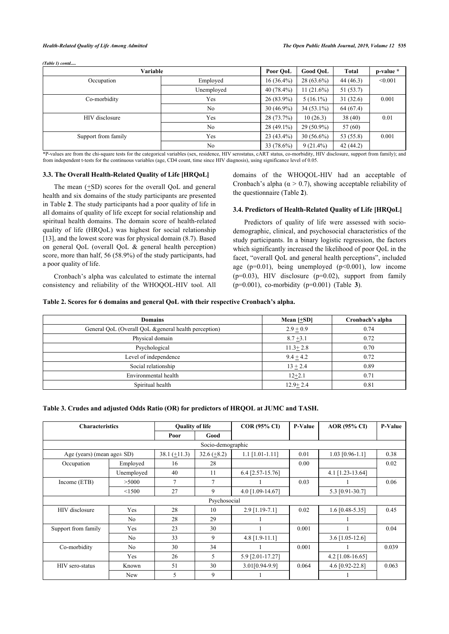*(Table 1) contd.....*

| Variable            |                |              | <b>Good QoL</b> | Total     | p-value * |
|---------------------|----------------|--------------|-----------------|-----------|-----------|
| Occupation          | Employed       | $16(36.4\%)$ | $28(63.6\%)$    | 44(46.3)  | < 0.001   |
|                     | Unemployed     | $40(78.4\%)$ | $11(21.6\%)$    | 51(53.7)  |           |
| Co-morbidity        | Yes            | $26(83.9\%)$ | $5(16.1\%)$     | 31(32.6)  | 0.001     |
|                     | N <sub>0</sub> | $30(46.9\%)$ | $34(53.1\%)$    | 64 (67.4) |           |
| HIV disclosure      | Yes            | $28(73.7\%)$ | 10(26.3)        | 38(40)    | 0.01      |
|                     | N <sub>0</sub> | $28(49.1\%)$ | 29 (50.9%)      | 57 (60)   |           |
| Support from family | Yes            | $23(43.4\%)$ | $30(56.6\%)$    | 53 (55.8) | 0.001     |
|                     | N <sub>0</sub> | 33 (78.6%)   | $9(21.4\%)$     | 42(44.2)  |           |

\*P-values are from the chi-square tests for the categorical variables (sex, residence, HIV serostatus, cART status, co-morbidity, HIV disclosure, support from family); and from independent t-tests for the continuous variables (age, CD4 count, time since HIV diagnosis), using significance level of 0.05.

#### **3.3. The Overall Health-Related Quality of Life [HRQoL]**

The mean  $(+SD)$  scores for the overall QoL and general health and six domains of the study participants are presented in Table **[2](#page-3-0)**. The study participants had a poor quality of life in all domains of quality of life except for social relationship and spiritual health domains. The domain score of health-related quality of life (HRQoL) was highest for social relationship [[13\]](#page-7-5), and the lowest score was for physical domain  $(8.7)$ . Based on general QoL (overall QoL & general health perception) score, more than half, 56 (58.9%) of the study participants, had a poor quality of life.

Cronbach's alpha was calculated to estimate the internal consistency and reliability of the WHOQOL-HIV tool. All domains of the WHOQOL-HIV had an acceptable of Cronbach's alpha ( $\alpha$  > 0.7), showing acceptable reliability of the questionnaire (Table **[2](#page-3-0)**).

# **3.4. Predictors of Health-Related Quality of Life [HRQoL]**

Predictors of quality of life were assessed with sociodemographic, clinical, and psychosocial characteristics of the study participants. In a binary logistic regression, the factors which significantly increased the likelihood of poor QoL in the facet, "overall QoL and general health perceptions", included age ( $p=0.01$ ), being unemployed ( $p<0.001$ ), low income  $(p=0.03)$ , HIV disclosure  $(p=0.02)$ , sup[po](#page-3-1)rt from family (p=0.001), co-morbidity (p=0.001) (Table **3**).

#### <span id="page-3-0"></span>**Table 2. Scores for 6 domains and general QoL with their respective Cronbach's alpha.**

| <b>Domains</b>                                        | Mean $[+SD]$ | Cronbach's alpha |
|-------------------------------------------------------|--------------|------------------|
| General QoL (Overall QoL & general health perception) | $2.9 + 0.9$  | 0.74             |
| Physical domain                                       | $8.7 + 3.1$  | 0.72             |
| Psychological                                         | $11.3 + 2.8$ | 0.70             |
| Level of independence                                 | $9.4 + 4.2$  | 0.72             |
| Social relationship                                   | $13 + 2.4$   | 0.89             |
| Environmental health                                  | $12 + 2.1$   | 0.71             |
| Spiritual health                                      | $12.9 + 2.4$ | 0.81             |

<span id="page-3-1"></span>**Table 3. Crudes and adjusted Odds Ratio (OR) for predictors of HRQOL at JUMC and TASH.**

| <b>Characteristics</b>          |            | <b>Quality of life</b> |                | COR (95% CI)       | <b>P-Value</b> | <b>AOR</b> (95% CI) | <b>P-Value</b> |  |
|---------------------------------|------------|------------------------|----------------|--------------------|----------------|---------------------|----------------|--|
|                                 |            | Poor                   | Good           |                    |                |                     |                |  |
| Socio-demographic               |            |                        |                |                    |                |                     |                |  |
| Age (years) (mean age $\pm$ SD) |            | $38.1 (+11.3)$         | $32.6 (+8.2)$  | $1.1$ [1.01-1.11]  | 0.01           | $1.03$ [0.96-1.1]   | 0.38           |  |
| Occupation                      | Employed   | 16                     | 28             |                    | 0.00           |                     | 0.02           |  |
|                                 | Unemployed | 40                     | 11             | $6.4$ [2.57-15.76] |                | $4.1$ [1.23-13.64]  |                |  |
| Income (ETB)                    | >5000      | 7                      | $\overline{7}$ |                    | 0.03           |                     | 0.06           |  |
|                                 | < 1500     | 27                     | 9              | 4.0 [1.09-14.67]   |                | 5.3 [0.91-30.7]     |                |  |
| Psychosocial                    |            |                        |                |                    |                |                     |                |  |
| HIV disclosure                  | Yes        | 28                     | 10             | $2.9$ [1.19-7.1]   | 0.02           | $1.6$ [0.48-5.35]   | 0.45           |  |
|                                 | No         | 28                     | 29             |                    |                |                     |                |  |
| Support from family             | Yes        | 23                     | 30             |                    | 0.001          |                     | 0.04           |  |
|                                 | No         | 33                     | 9              | $4.8$ [1.9-11.1]   |                | $3.6$ [1.05-12.6]   |                |  |
| Co-morbidity                    | No         | 30                     | 34             |                    | 0.001          |                     | 0.039          |  |
|                                 | Yes        | 26                     | 5              | 5.9 [2.01-17.27]   |                | $4.2$ [1.08-16.65]  |                |  |
| HIV sero-status                 | Known      | 51                     | 30             | 3.01[0.94-9.9]     | 0.064          | 4.6 [0.92-22.8]     | 0.063          |  |
|                                 | <b>New</b> | 5                      | 9              |                    |                |                     |                |  |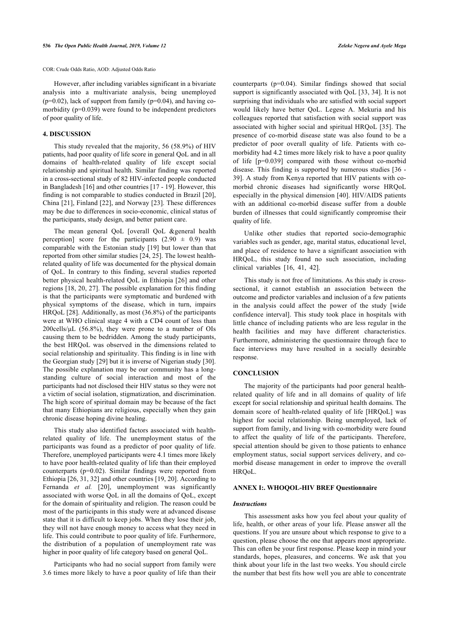However, after including variables significant in a bivariate analysis into a multivariate analysis, being unemployed  $(p=0.02)$ , lack of support from family  $(p=0.04)$ , and having comorbidity ( $p=0.039$ ) were found to be independent predictors of poor quality of life.

### **4. DISCUSSION**

This study revealed that the majority, 56 (58.9%) of HIV patients, had poor quality of life score in general QoL and in all domains of health-related quality of life except social relationship and spiritual health. Similar finding was reported in a cross-sectional study of 82 HIV-infected people conducted in Bangladesh [\[16](#page-7-8)] and other countries [\[17](#page-7-9) - [19](#page-7-10)]. However, this finding is not comparable to studies conducted in Brazil [[20\]](#page-7-11), China [\[21\]](#page-7-12), Finland [\[22\]](#page-7-13), and Norway [[23\]](#page-7-14). These differences may be due to differences in socio-economic, clinical status of the participants, study design, and better patient care.

The mean general QoL [overall QoL &general health perception] score for the participants  $(2.90 \pm 0.9)$  was comparable with the Estonian study [[19\]](#page-7-10) but lower than that reported from other similar studies [\[24](#page-7-15), [25](#page-7-16)]. The lowest healthrelated quality of life was documented for the physical domain of QoL. In contrary to this finding, several studies reported better physical health-related QoL in Ethiopia [[26](#page-7-17)] and other regions [[18,](#page-7-18) [20,](#page-7-11) [27\]](#page-7-19). The possible explanation for this finding is that the participants were symptomatic and burdened with physical symptoms of the disease, which in turn, impairs HRQoL [\[28](#page-7-20)]. Additionally, as most (36.8%) of the participants were at WHO clinical stage 4 with a CD4 count of less than 200cells/ $\mu$ L (56.8%), they were prone to a number of OIs causing them to be bedridden. Among the study participants, the best HRQoL was observed in the dimensions related to social relationship and spirituality. This finding is in line with the Georgian study [[29\]](#page-7-21) but it is inverse of Nigerian study [[30](#page-7-4)]. The possible explanation may be our community has a longstanding culture of social interaction and most of the participants had not disclosed their HIV status so they were not a victim of social isolation, stigmatization, and discrimination. The high score of spiritual domain may be because of the fact that many Ethiopians are religious, especially when they gain chronic disease hoping divine healing.

This study also identified factors associated with healthrelated quality of life. The unemployment status of the participants was found as a predictor of poor quality of life. Therefore, unemployed participants were 4.1 times more likely to have poor health-related quality of life than their employed counterparts (p=0.02). Similar findings were reported from Ethiopia [[26,](#page-7-17) [31](#page-7-22), [32\]](#page-7-23) and other countries [[19,](#page-7-10) [20](#page-7-11)]. According to Fernanda et al. [\[20](#page-7-11)], unemployment was significantly associated with worse QoL in all the domains of QoL, except for the domain of spirituality and religion. The reason could be most of the participants in this study were at advanced disease state that it is difficult to keep jobs. When they lose their job, they will not have enough money to access what they need in life. This could contribute to poor quality of life. Furthermore, the distribution of a population of unemployment rate was higher in poor quality of life category based on general QoL.

Participants who had no social support from family were 3.6 times more likely to have a poor quality of life than their counterparts (p=0.04). Similar findings showed that social support is significantly associated with QoL [[33,](#page-7-24) [34\]](#page-7-25). It is not surprising that individuals who are satisfied with social support would likely have better QoL. Legese A. Mekuria and his colleagues reported that satisfaction with social support was associated with higher social and spiritual HRQoL [[35\]](#page-7-26). The presence of co-morbid disease state was also found to be a predictor of poor overall quality of life. Patients with comorbidity had 4.2 times more likely risk to have a poor quality of life [p=0.039] compared with those without co-morbid disease. This finding is supported by numerous studies [\[36](#page-7-27) - [39](#page-7-12)]. A study from Kenya reported that HIV patients with comorbid chronic diseases had significantly worse HRQoL especially in the physical dimension [[40\]](#page-7-13). HIV/AIDS patients with an additional co-morbid disease suffer from a double burden of illnesses that could significantly compromise their quality of life.

Unlike other studies that reported socio-demographic variables such as gender, age, marital status, educational level, and place of residence to have a significant association with HRQoL, this study found no such association, including clinical variables [\[16](#page-7-8), [41,](#page-7-28) [42](#page-7-29)].

This study is not free of limitations. As this study is crosssectional, it cannot establish an association between the outcome and predictor variables and inclusion of a few patients in the analysis could affect the power of the study [wide confidence interval]. This study took place in hospitals with little chance of including patients who are less regular in the health facilities and may have different characteristics. Furthermore, administering the questionnaire through face to face interviews may have resulted in a socially desirable response.

#### **CONCLUSION**

The majority of the participants had poor general healthrelated quality of life and in all domains of quality of life except for social relationship and spiritual health domains. The domain score of health-related quality of life [HRQoL] was highest for social relationship. Being unemployed, lack of support from family, and living with co-morbidity were found to affect the quality of life of the participants. Therefore, special attention should be given to those patients to enhance employment status, social support services delivery, and comorbid disease management in order to improve the overall HRQoL.

#### **ANNEX I:. WHOQOL-HIV BREF Questionnaire**

#### *Instructions*

This assessment asks how you feel about your quality of life, health, or other areas of your life. Please answer all the questions. If you are unsure about which response to give to a question, please choose the one that appears most appropriate. This can often be your first response. Please keep in mind your standards, hopes, pleasures, and concerns. We ask that you think about your life in the last two weeks. You should circle the number that best fits how well you are able to concentrate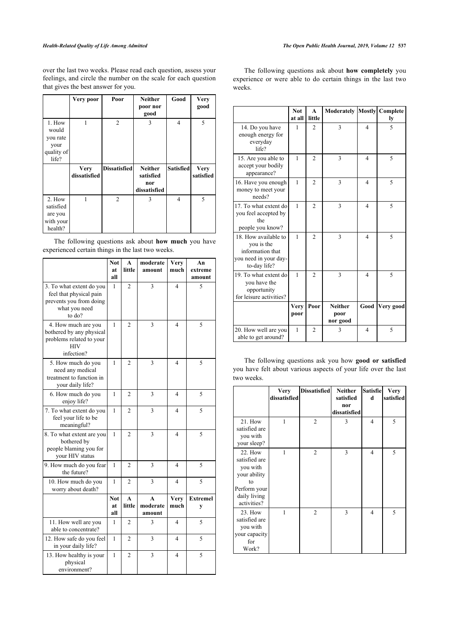over the last two weeks. Please read each question, assess your feelings, and circle the number on the scale for each question that gives the best answer for you.

|                                                            | Very poor                   | Poor                | <b>Neither</b><br>poor nor<br>good                 | Good             | <b>Very</b><br>good      |
|------------------------------------------------------------|-----------------------------|---------------------|----------------------------------------------------|------------------|--------------------------|
| 1. How<br>would<br>you rate<br>your<br>quality of<br>life? | 1                           | $\overline{2}$      | 3                                                  | $\overline{4}$   | 5                        |
|                                                            | <b>Very</b><br>dissatisfied | <b>Dissatisfied</b> | <b>Neither</b><br>satisfied<br>nor<br>dissatisfied | <b>Satisfied</b> | <b>Very</b><br>satisfied |
| 2. How<br>satisfied<br>are you<br>with your<br>health?     | 1                           | $\overline{2}$      | 3                                                  | $\overline{4}$   | 5                        |

The following questions ask about **how much** you have experienced certain things in the last two weeks.

|                                                                                                           | <b>Not</b><br>at<br>all | A<br>little            | moderate<br>amount                 | <b>Very</b><br>much | An<br>extreme<br>amount |
|-----------------------------------------------------------------------------------------------------------|-------------------------|------------------------|------------------------------------|---------------------|-------------------------|
| 3. To what extent do you<br>feel that physical pain<br>prevents you from doing<br>what you need<br>to do? | 1                       | $\overline{c}$         | 3                                  | 4                   | 5                       |
| 4. How much are you<br>bothered by any physical<br>problems related to your<br><b>HIV</b><br>infection?   | 1                       | $\overline{2}$         | 3                                  | $\overline{4}$      | 5                       |
| 5. How much do you<br>need any medical<br>treatment to function in<br>your daily life?                    | 1                       | $\overline{2}$         | 3                                  | 4                   | 5                       |
| 6. How much do you<br>enjoy life?                                                                         | 1                       | $\overline{2}$         | 3                                  | 4                   | 5                       |
| 7. To what extent do you<br>feel your life to be<br>meaningful?                                           | 1                       | $\mathfrak{D}$         | 3                                  | 4                   | 5                       |
| 8. To what extent are you<br>bothered by<br>people blaming you for<br>your HIV status                     | 1                       | $\mathfrak{D}$         | 3                                  | 4                   | 5                       |
| 9. How much do you fear<br>the future?                                                                    | 1                       | $\overline{c}$         | 3                                  | 4                   | 5                       |
| 10. How much do you<br>worry about death?                                                                 | 1                       | $\mathfrak{D}$         | 3                                  | 4                   | 5                       |
|                                                                                                           | <b>Not</b><br>at<br>all | $\mathbf{A}$<br>little | $\mathbf{A}$<br>moderate<br>amount | Very<br>much        | <b>Extremel</b><br>y    |
| 11. How well are you<br>able to concentrate?                                                              | 1                       | $\overline{2}$         | 3                                  | 4                   | 5                       |
| 12. How safe do you feel<br>in your daily life?                                                           | 1                       | 2                      | 3                                  | 4                   | 5                       |
| 13. How healthy is your<br>physical<br>environment?                                                       | 1                       | 2                      | 3                                  | 4                   | 5                       |

The following questions ask about **how completely** you experience or were able to do certain things in the last two weeks.

|                                                                                                 | <b>Not</b><br>at all | $\mathbf{A}$<br>little | <b>Moderately Mostly Complete</b>  |                | ly        |
|-------------------------------------------------------------------------------------------------|----------------------|------------------------|------------------------------------|----------------|-----------|
| 14. Do you have<br>enough energy for<br>everyday<br>life?                                       | $\mathbf{1}$         | $\mathfrak{D}$         | 3                                  | $\overline{4}$ | 5         |
| 15. Are you able to<br>accept your bodily<br>appearance?                                        | 1                    | $\overline{2}$         | 3                                  | $\overline{4}$ | 5         |
| 16. Have you enough<br>money to meet your<br>needs?                                             | 1                    | $\overline{2}$         | 3                                  | $\overline{4}$ | 5         |
| 17. To what extent do<br>you feel accepted by<br>the<br>people you know?                        | 1                    | $\mathfrak{D}$         | 3                                  | 4              | 5         |
| 18. How available to<br>you is the<br>information that<br>you need in your day-<br>to-day life? | 1                    | $\overline{2}$         | 3                                  | $\overline{4}$ | 5         |
| 19. To what extent do<br>you have the<br>opportunity<br>for leisure activities?                 | 1                    | $\mathfrak{D}$         | 3                                  | $\overline{4}$ | 5         |
|                                                                                                 | <b>Very</b><br>poor  | Poor                   | <b>Neither</b><br>poor<br>nor good | Good           | Very good |
| 20. How well are you<br>able to get around?                                                     | 1                    | $\overline{2}$         | 3                                  | $\overline{4}$ | 5         |

The following questions ask you how **good or satisfied** you have felt about various aspects of your life over the last two weeks.

|                                                                                                           | <b>Very</b><br>dissatisfied | <b>Dissatisfied</b> | <b>Neither</b><br>satisfied<br>nor<br>dissatisfied | <b>Satisfiel</b><br>d | <b>Very</b><br>satisfied |
|-----------------------------------------------------------------------------------------------------------|-----------------------------|---------------------|----------------------------------------------------|-----------------------|--------------------------|
| 21. How<br>satisfied are<br>you with<br>your sleep?                                                       | 1                           | $\overline{2}$      | 3                                                  | 4                     | 5                        |
| 22. How<br>satisfied are<br>you with<br>your ability<br>to<br>Perform your<br>daily living<br>activities? | 1                           | $\overline{2}$      | 3                                                  | 4                     | 5                        |
| 23. How<br>satisfied are<br>you with<br>your capacity<br>for<br>Work?                                     | 1                           | $\overline{2}$      | 3                                                  | $\overline{4}$        | 5                        |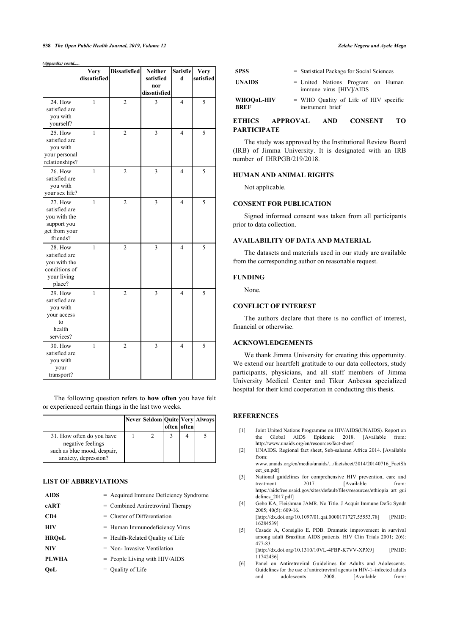#### **538** *The Open Public Health Journal, 2019, Volume 12 Zeleke Negera and Ayele Mega*

*(Appendix) contd.....*

|                                                                                             | <b>Very</b>  | <b>Dissatisfied</b> | Neither                 | Satisfie       | Very      |
|---------------------------------------------------------------------------------------------|--------------|---------------------|-------------------------|----------------|-----------|
|                                                                                             | dissatisfied |                     | satisfied               | d              | satisfied |
|                                                                                             |              |                     | nor                     |                |           |
|                                                                                             |              |                     | dissatisfied            |                |           |
| 24. How<br>satisfied are<br>you with<br>yourself?                                           | $\mathbf{1}$ | $\overline{c}$      | $\overline{3}$          | $\overline{4}$ | 5         |
| 25. How<br>satisfied are<br>you with<br>your personal<br>relationships?                     | $\mathbf{1}$ | $\overline{2}$      | 3                       | $\overline{4}$ | 5         |
| <b>26. How</b><br>satisfied are<br>you with<br>your sex life?                               | $\mathbf{1}$ | $\overline{2}$      | $\overline{3}$          | $\overline{4}$ | 5         |
| <b>27. How</b><br>satisfied are<br>you with the<br>support you<br>get from your<br>friends? | $\mathbf{1}$ | $\overline{c}$      | 3                       | $\overline{4}$ | 5         |
| <b>28. How</b><br>satisfied are<br>you with the<br>conditions of<br>your living<br>place?   | $\mathbf{1}$ | $\overline{c}$      | 3                       | $\overline{4}$ | 5         |
| <b>29. How</b><br>satisfied are<br>you with<br>your access<br>to<br>health<br>services?     | $\mathbf{1}$ | $\overline{c}$      | 3                       | $\overline{4}$ | 5         |
| 30. How<br>satisfied are<br>you with<br>your<br>transport?                                  | $\mathbf{1}$ | $\overline{2}$      | $\overline{\mathbf{3}}$ | $\overline{4}$ | 5         |

The following question refers to **how often** you have felt or experienced certain things in the last two weeks.

<span id="page-6-0"></span>

|                                                                                                       |  | often often | Never Seldom Quite Very Always |
|-------------------------------------------------------------------------------------------------------|--|-------------|--------------------------------|
| 31. How often do you have<br>negative feelings<br>such as blue mood, despair,<br>anxiety, depression? |  |             |                                |

# <span id="page-6-2"></span><span id="page-6-1"></span>**LIST OF ABBREVIATIONS**

<span id="page-6-5"></span><span id="page-6-4"></span><span id="page-6-3"></span>

| <b>AIDS</b>  | = Acquired Immune Deficiency Syndrome |
|--------------|---------------------------------------|
| cART         | $=$ Combined Antiretroviral Therapy   |
| CD4          | $=$ Cluster of Differentiation        |
| HIV          | $=$ Human Immunodeficiency Virus      |
| <b>HROoL</b> | $=$ Health-Related Quality of Life    |
| <b>NIV</b>   | $=$ Non-Invasive Ventilation          |
| <b>PLWHA</b> | $=$ People Living with HIV/AIDS       |
| OoL          | $=$ Ouality of Life                   |

| <b>SPSS</b>               | = Statistical Package for Social Sciences                      |
|---------------------------|----------------------------------------------------------------|
| <b>UNAIDS</b>             | $=$ United Nations Program on Human<br>immune virus [HIV]/AIDS |
| WHOO0L-HIV<br><b>BREF</b> | $=$ WHO Quality of Life of HIV specific<br>instrument brief    |

# **ETHICS APPROVAL AND CONSENT TO PARTICIPATE**

The study was approved by the Institutional Review Board (IRB) of Jimma University. It is designated with an IRB number of IHRPGB/219/2018.

#### **HUMAN AND ANIMAL RIGHTS**

Not applicable.

# **CONSENT FOR PUBLICATION**

Signed informed consent was taken from all participants prior to data collection.

#### **AVAILABILITY OF DATA AND MATERIAL**

The datasets and materials used in our study are available from the corresponding author on reasonable request.

#### **FUNDING**

None.

### **CONFLICT OF INTEREST**

The authors declare that there is no conflict of interest, financial or otherwise.

# **ACKNOWLEDGEMENTS**

We thank Jimma University for creating this opportunity. We extend our heartfelt gratitude to our data collectors, study participants, physicians, and all staff members of Jimma University Medical Center and Tikur Anbessa specialized hospital for their kind cooperation in conducting this thesis.

# **REFERENCES**

- [1] Joint United Nations Programme on HIV/AIDS(UNAIDS). Report on the Global AIDS Epidemic 2018. [Available from: [http://www.unaids.org/en/resources/fact-sheet\]](http://www.unaids.org/en/resources/fact-sheet)
- [2] UNAIDS. Regional fact sheet, Sub-saharan Africa 2014. [Available from:

[www.unaids.org/en/media/unaids/.../factsheet/2014/20140716\\_FactSh](http://www.unaids.org/en/media/unaids/.../factsheet/2014/20140716_FactSheet_en.pdf) [eet\\_en.pdf\]](http://www.unaids.org/en/media/unaids/.../factsheet/2014/20140716_FactSheet_en.pdf)

- [3] National guidelines for comprehensive HIV prevention, care and treatment 2017. [Available from: [https://aidsfree.usaid.gov/sites/default/files/resources/ethiopia\\_art\\_gui](https://aidsfree.usaid.gov/sites/default/files/resources/ethiopia_art_guidelines_2017.pdf) [delines\\_2017.pdf\]](https://aidsfree.usaid.gov/sites/default/files/resources/ethiopia_art_guidelines_2017.pdf)
- [4] Gebo KA, Fleishman JAMR. No Title. J Acquir Immune Defic Syndr 2005; 40(5): 609-16. [\[http://dx.doi.org/10.1097/01.qai.0000171727.55553.78\]](http://dx.doi.org/10.1097/01.qai.0000171727.55553.78) [PMID:

[16284539\]](http://www.ncbi.nlm.nih.gov/pubmed/16284539)

[5] Casado A, Consiglio E. PDB. Dramatic improvement in survival among adult Brazilian AIDS patients. HIV Clin Trials 2001; 2(6): 477-83. [\[http://dx.doi.org/10.1310/10VL-4FBP-K7VV-XPX9](http://dx.doi.org/10.1310/10VL-4FBP-K7VV-XPX9)] [PMID:

117424361 [6] Panel on Antiretroviral Guidelines for Adults and Adolescents. Guidelines for the use of antiretroviral agents in HIV-1–infected adults and adolescents 2008. [Available from: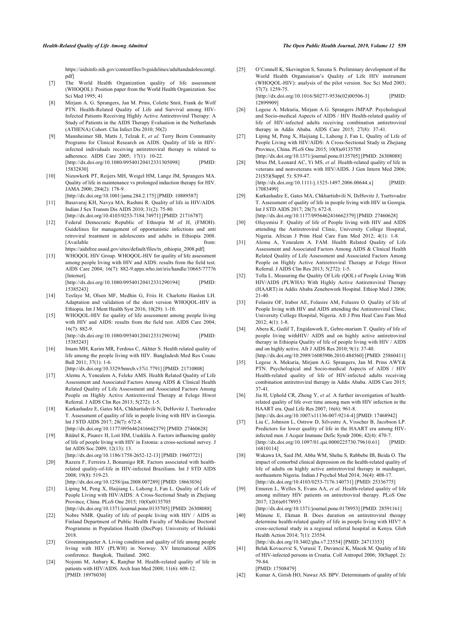[https://aidsinfo.nih.gov/contentfiles/lvguidelines/adultandadolescentgl.](https://aidsinfo.nih.gov/contentfiles/lvguidelines/adultandadolescentgl.pdf) [pdf\]](https://aidsinfo.nih.gov/contentfiles/lvguidelines/adultandadolescentgl.pdf)

- <span id="page-7-16"></span><span id="page-7-0"></span>[7] The World Health Organization quality of life assessment (WHOQOL): Position paper from the World Health Organization. Soc Sci Med 1995; 41
- <span id="page-7-17"></span><span id="page-7-1"></span>[8] Mirjam A. G. Sprangers, Jan M. Prins, Colette Smit, Frank de Wolf PTN. Health-Related Quality of Life and Survival among HIV-Infected Patients Receiving Highly Active Antiretroviral Therapy: A Study of Patients in the AIDS Therapy Evaluation in the Netherlands (ATHENA) Cohort. Clin Infect Dis 2010; 50(2)
- <span id="page-7-19"></span>[9] Mannheimer SB, Matts J, Telzak E, *et al.* Terry Beirn Community Programs for Clinical Research on AIDS. Quality of life in HIVinfected individuals receiving antiretroviral therapy is related to adherence. AIDS Care 2005; 17(1): 10-22. [\[http://dx.doi.org/10.1080/09540120412331305098\]](http://dx.doi.org/10.1080/09540120412331305098) [PMID: [15832830\]](http://www.ncbi.nlm.nih.gov/pubmed/15832830)
- <span id="page-7-20"></span><span id="page-7-2"></span>[10] Nieuwkerk PT, Reijers MH, Weigel HM, Lange JM, Sprangers MA. Quality of life in maintenance vs prolonged induction therapy for HIV. JAMA 2000; 284(2): 178-9.
	- [\[http://dx.doi.org/10.1001/jama.284.2.175\]](http://dx.doi.org/10.1001/jama.284.2.175) [PMID: [10889587](http://www.ncbi.nlm.nih.gov/pubmed/10889587)]
- <span id="page-7-21"></span><span id="page-7-3"></span>[11] Basavaraj KH, Navya MA, Rashmi R. Quality of life in HIV/AIDS. Indian J Sex Transm Dis AIDS 2010; 31(2): 75-80. [\[http://dx.doi.org/10.4103/0253-7184.74971\]](http://dx.doi.org/10.4103/0253-7184.74971) [PMID: [21716787](http://www.ncbi.nlm.nih.gov/pubmed/21716787)]
- <span id="page-7-4"></span>[12] Federal Democratic Republic of Ethiopia M of H, (FMOH). Guidelines for management of opportunistic infections and anti retroviral treatment in adolescents and adults in Ethiopia 2008. [Available from: [https://aidsfree.usaid.gov/sites/default/files/tx\\_ethiopia\\_2008.pdf\]](https://aidsfree.usaid.gov/sites/default/files/tx_ethiopia_2008.pdf)
- <span id="page-7-22"></span><span id="page-7-5"></span>[13] WHOQOL HIV Group. WHOQOL-HIV for quality of life assessment among people living with HIV and AIDS: results from the field test. AIDS Care 2004; 16(7): 882-9[.apps.who.int/iris/handle/10665/77776](http://apps.who.int/iris/handle/10665/77776) [Internet]. [\[http://dx.doi.org/10.1080/09540120412331290194\]](http://dx.doi.org/10.1080/09540120412331290194) [PMID:

<span id="page-7-23"></span><span id="page-7-6"></span>[15385243\]](http://www.ncbi.nlm.nih.gov/pubmed/15385243) [14] Tesfaye M, Olsen MF, Medhin G, Friis H. Charlotte Hanlon LH.

- <span id="page-7-24"></span>Adaptation and validation of the short version WHOQOL-HIV in Ethiopia. Int J Ment Health Syst 2016; 10(29): 1-10.
- <span id="page-7-25"></span><span id="page-7-7"></span>[15] WHOQOL-HIV for quality of life assessment among people living with HIV and AIDS: results from the field test. AIDS Care 2004; 16(7): 882-9. [\[http://dx.doi.org/10.1080/09540120412331290194\]](http://dx.doi.org/10.1080/09540120412331290194) [PMID:

[15385243\]](http://www.ncbi.nlm.nih.gov/pubmed/15385243)

<span id="page-7-8"></span>[16] Imam MH, Karim MR, Ferdous C, Akhter S. Health related quality of life among the people living with HIV. Bangladesh Med Res Counc Bull 2011; 37(1): 1-6.

<span id="page-7-26"></span><span id="page-7-9"></span>[\[http://dx.doi.org/10.3329/bmrcb.v37i1.7791\]](http://dx.doi.org/10.3329/bmrcb.v37i1.7791) [PMID: [21710808](http://www.ncbi.nlm.nih.gov/pubmed/21710808)] [17] Alemu A, Yenealem A, Feleke AMS. Health Related Quality of Life Assessment and Associated Factors Among AIDS & Clinical Health Related Quality of Life Assessment and Associated Factors Among

<span id="page-7-27"></span><span id="page-7-18"></span>People on Highly Active Antiretroviral Therapy at Felege Hiwot Referral. J AIDS Clin Res 2013; 5(272): 1-5. [18] Karkashadze E, Gates MA, Chkhartishvili N, DeHovitz J, Tsertsvadze T. Assessment of quality of life in people living with HIV in Georgia.

Int J STD AIDS 2017; 28(7): 672-8. [\[http://dx.doi.org/10.1177/0956462416662379](http://dx.doi.org/10.1177/0956462416662379)] [PMID: [27460628\]](http://www.ncbi.nlm.nih.gov/pubmed/27460628)

- <span id="page-7-10"></span>[19] Rüütel K, Pisarev H, Loit HM, Uusküla A. Factors influencing quality of life of people living with HIV in Estonia: a cross-sectional survey. J Int AIDS Soc 2009; 12(13): 13.
- <span id="page-7-11"></span>[\[http://dx.doi.org/10.1186/1758-2652-12-13](http://dx.doi.org/10.1186/1758-2652-12-13)] [PMID: [19607721\]](http://www.ncbi.nlm.nih.gov/pubmed/19607721) [20] Razera F, Ferreira J, Bonamigo RR. Factors associated with healthrelated quality-of-life in HIV-infected Brazilians. Int J STD AIDS 2008; 19(8): 519-23.
	- [\[http://dx.doi.org/10.1258/ijsa.2008.007289](http://dx.doi.org/10.1258/ijsa.2008.007289)] [PMID: [18663036](http://www.ncbi.nlm.nih.gov/pubmed/18663036)]
- <span id="page-7-12"></span>[21] Liping M, Peng X, Haijiang L, Lahong J, Fan L. Quality of Life of People Living with HIV/AIDS: A Cross-Sectional Study in Zhejiang Province, China. PLoS One 2015; 10(8)e0135705 [\[http://dx.doi.org/10.1371/journal.pone.0135705\]](http://dx.doi.org/10.1371/journal.pone.0135705) [PMID: [26308088](http://www.ncbi.nlm.nih.gov/pubmed/26308088)]
- <span id="page-7-13"></span>[22] Nobre NMR. Quality of life of people living with HIV / AIDS in Finland Department of Public Health Faculty of Medicine Doctoral Programme in Population Health (DocPop). University of Helsinki 2018.
- <span id="page-7-28"></span><span id="page-7-14"></span>[23] Groenningsaeter A. Living condition and quality of life among people living with HIV (PLWH) in Norway. XV International AIDS conference. Bangkok, Thailand. 2002.
- <span id="page-7-29"></span><span id="page-7-15"></span>[24] Nojomi M, Anbary K, Ranjbar M. Health-related quality of life in patients with HIV/AIDS. Arch Iran Med 2008; 11(6): 608-12. [PMID: [18976030](http://www.ncbi.nlm.nih.gov/pubmed/18976030)]

[25] O'Connell K, Skevington S, Saxena S. Preliminary development of the World Health Organsiation's Quality of Life HIV instrument (WHOQOL-HIV): analysis of the pilot version. Soc Sci Med 2003; 57(7): 1259-75. [\[http://dx.doi.org/10.1016/S0277-9536\(02\)00506-3](http://dx.doi.org/10.1016/S0277-9536(02)00506-3)] [PMID:

[12899909\]](http://www.ncbi.nlm.nih.gov/pubmed/12899909)

- [26] Legese A. Mekuria, Mirjam A.G. Sprangers JMPAP. Psychological and Socio-medical Aspects of AIDS / HIV Health-related quality of life of HIV-infected adults receiving combination antiretroviral therapy in Addis Ababa. AIDS Care 2015; 27(8): 37-41.
- [27] Liping M, Peng X, Haijiang L, Lahong J, Fan L. Quality of Life of People Living with HIV/AIDS: A Cross-Sectional Study in Zhejiang Province, China. PLoS One 2015; 10(8)e0135705 [\[http://dx.doi.org/10.1371/journal.pone.0135705\]](http://dx.doi.org/10.1371/journal.pone.0135705) [PMID: [26308088\]](http://www.ncbi.nlm.nih.gov/pubmed/26308088)
- [28] Mrus JM, Leonard AC, Yi MS, *et al.* Health-related quality of life in veterans and nonveterans with HIV/AIDS. J Gen Intern Med 2006; 21(S5)(Suppl. 5): S39-47. [\[http://dx.doi.org/10.1111/j.1525-1497.2006.00644.x\]](http://dx.doi.org/10.1111/j.1525-1497.2006.00644.x) [PMID: [17083499\]](http://www.ncbi.nlm.nih.gov/pubmed/17083499)
- [29] Karkashadze E, Gates MA, Chkhartishvili N, DeHovitz J, Tsertsvadze T. Assessment of quality of life in people living with HIV in Georgia. Int J STD AIDS 2017; 28(7): 672-8. [\[http://dx.doi.org/10.1177/0956462416662379](http://dx.doi.org/10.1177/0956462416662379)] [PMID: [27460628](http://www.ncbi.nlm.nih.gov/pubmed/27460628)]
- [30] Oluyemisi F. Quality of life of People living with HIV and AIDS attending the Antiretroviral Clinic, University College Hospital, Nigeria. African J Prim Heal Care Fam Med 2012; 4(1): 1-8.
- [31] Alemu A, Yenealem A. FAM. Health Related Quality of Life Assessment and Associated Factors Among AIDS & Clinical Health Related Quality of Life Assessment and Associated Factors Among People on Highly Active Antiretroviral Therapy at Felege Hiwot Referral. J AIDS Clin Res 2013; 5(272): 1-5.
- [32] Tolla L. Measuring the Quality Of Life (QOL) of People Living With HIV/AIDS (PLWHA) With Highly Active Antiretroviral Therapy (HAART) in Addis Ababa Zenebework Hospital. Ethiop Med J 2006; 21-40.
- [33] Folasire OF, Irabor AE, Folasire AM, Folasire O. Quality of life of People living with HIV and AIDS attending the Antiretroviral Clinic, University College Hospital, Nigeria. Afr J Prm Heal Care Fam Med 2012; 4(1): 1-8.
- [34] Abera K, Gedif T, Engidawork E, Gebre-mariam T. Quality of life of people living withHIV/ AIDS and on highly active antiretroviral therapy in Ethiopia Quality of life of people living with HIV / AIDS and on highly active. Afr J AIDS Res 2010; 9(1): 37-40. [\[http://dx.doi.org/10.2989/16085906.2010.484560\]](http://dx.doi.org/10.2989/16085906.2010.484560) [PMID: [25860411\]](http://www.ncbi.nlm.nih.gov/pubmed/25860411)
- [35] Legese A. Mekuria, Mirjam A.G. Sprangers, Jan M. Prins AWY& PTN. Psychological and Socio-medical Aspects of AIDS / HIV Health-related quality of life of HIV-infected adults receiving combination antiretroviral therapy in Addis Ababa. AIDS Care 2015; 37-41.
- [36] Jia H, Uphold CR, Zheng Y, *et al.* A further investigation of healthrelated quality of life over time among men with HIV infection in the HAART era. Qual Life Res 2007; 16(6): 961-8.
- [\[http://dx.doi.org/10.1007/s11136-007-9214-4\]](http://dx.doi.org/10.1007/s11136-007-9214-4) [PMID: [17468942](http://www.ncbi.nlm.nih.gov/pubmed/17468942)] [37] Liu C, Johnson L, Ostrow D, Silvestre A, Visscher B, Jacobson LP. Predictors for lower quality of life in the HAART era among HIVinfected men. J Acquir Immune Defic Syndr 2006; 42(4): 470-7.<br>
Ihttp://dx.doi.org/10.1097/01.gai.0000225730.79610.611 [PMID:  $[http://dx.doi.org/10.1097/01.qai.0000225730.79610.61]$ [16810114\]](http://www.ncbi.nlm.nih.gov/pubmed/16810114)
- [38] Wakawa IA, Said JM, Abba WM, Shehu S, Rabbebe IB, Beida O. The impact of comorbid clinical depression on the health-related quality of life of adults on highly active antiretroviral therapy in maiduguri, northeastern Nigeria. Indian J Psychol Med 2014; 36(4): 408-17. [\[http://dx.doi.org/10.4103/0253-7176.140731\]](http://dx.doi.org/10.4103/0253-7176.140731) [PMID: [25336775](http://www.ncbi.nlm.nih.gov/pubmed/25336775)]
- [39] Emuren L, Welles S, Evans AA, *et al.* Health-related quality of life among military HIV patients on antiretroviral therapy. PLoS One 2017; 12(6)e0178953

[\[http://dx.doi.org/10.1371/journal.pone.0178953\]](http://dx.doi.org/10.1371/journal.pone.0178953) [PMID: [28591161\]](http://www.ncbi.nlm.nih.gov/pubmed/28591161)

- [40] Mûnene E, Ekman B. Does duration on antiretroviral therapy determine health-related quality of life in people living with HIV? A cross-sectional study in a regional referral hospital in Kenya. Glob Health Action 2014; 7(1): 23554. [\[http://dx.doi.org/10.3402/gha.v7.23554\]](http://dx.doi.org/10.3402/gha.v7.23554) [PMID: [24713353](http://www.ncbi.nlm.nih.gov/pubmed/24713353)]
- [41] Belak Kovacević S, Vurusić T, Duvancić K, Macek M. Quality of life of HIV-infected persons in Croatia. Coll Antropol 2006; 30(Suppl. 2): 79-84. [PMID: [17508479\]](http://www.ncbi.nlm.nih.gov/pubmed/17508479)
- [42] Kumar A, Girish HO, Nawaz AS. BPV. Determinants of quality of life